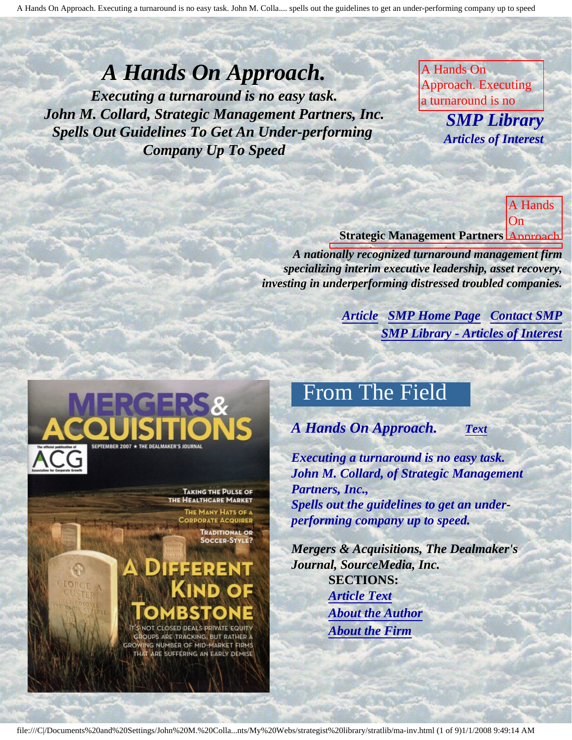## *A Hands On Approach.*

<span id="page-0-3"></span><span id="page-0-2"></span>*Executing a turnaround is no easy task. John M. Collard, Strategic Management Partners, Inc. Spells Out Guidelines To Get An Under-performing Company Up To Speed* 

A Hands On Approach. Executing a turnaround is no

under-performing

company up to speed, published by Mergers and Anti-

**Easter SMP Library** Antiolog of Interest guide to get and the get and the get *Articles of Interest*

is no

Collard, spells out

guidelines to get an

SourceMedia,

 $\mathbf{A}$  H Dealmaker's Journal, **Strategic Management Partners Approach.** A Hands On

A nationally recognized turnaround management firm specializing interim executive leadership, asset recovery, investing in underperforming distressed troubled companies.

> **[Article](#page-0-0) [SMP Home Page](http://members.aol.com/strategist/home.html) [Contact SMP](#page-7-0) [SMP Library - Articles of Interest](http://members.aol.com/stratlib3/libindx.html)** John M.

under-performing company up to speed,

<span id="page-0-0"></span>

THE HEALTHCARE MARKET

THE MANY HATS OF A **PORATE ACQUIRER TRADITIONAL OR SOCCER-STYLE?** 

# ISSERENT IND OF

<span id="page-0-1"></span>**CLOSED DEALS PRIVATE EQUITY OUPS ARE TRACKING, BUT RATHER A** NG NUMBER OF MID-MARKET FIRMS GROW THAT ARE SUFFERING AN EARLY DEMISE

## From The Field

*A Hands On Approach. [Text](#page-1-0)*

underperforming **John M. Collard, of Strategic Management** up to speed, published *Executing a turnaround is no easy task. Partners, Inc., Spells out the guidelines to get an underperforming company up to speed.*

Mergers *Mergers & Acquisitions, The Dealmaker's*  Acquisitions, The Dealmaker's Journal, *Journal, SourceMedia, Inc.* **SECTIONS:** *[Article Text](#page-1-0) [About the Author](#page-6-0) [About the Firm](#page-6-1)*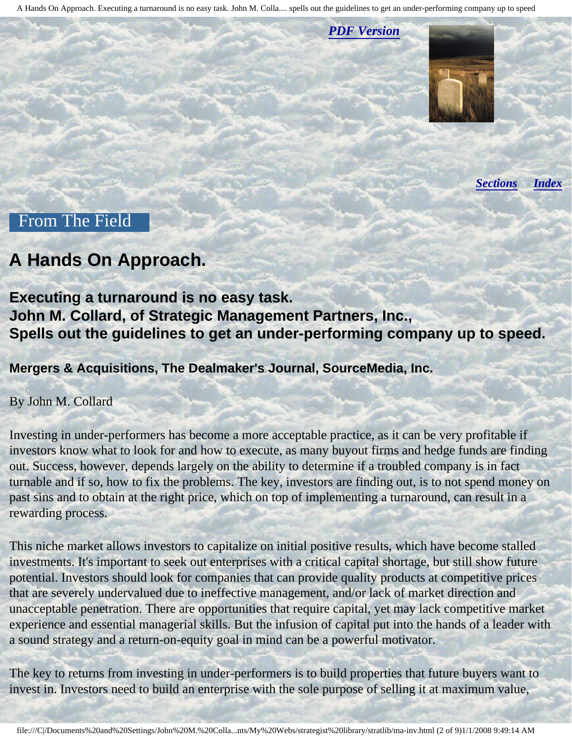*[PDF Version](http://members.aol.com/stratlib/ma-inv.pdf)*

*[Sections](#page-0-1) [Index](#page-0-2)*

#### <span id="page-1-0"></span>From The Field

### **A Hands On Approach.**

**Executing a turnaround is no easy task. John M. Collard, of Strategic Management Partners, Inc., Spells out the guidelines to get an under-performing company up to speed.**

**Mergers & Acquisitions, The Dealmaker's Journal, SourceMedia, Inc.** 

By John M. Collard

Investing in under-performers has become a more acceptable practice, as it can be very profitable if investors know what to look for and how to execute, as many buyout firms and hedge funds are finding out. Success, however, depends largely on the ability to determine if a troubled company is in fact turnable and if so, how to fix the problems. The key, investors are finding out, is to not spend money on past sins and to obtain at the right price, which on top of implementing a turnaround, can result in a rewarding process.

This niche market allows investors to capitalize on initial positive results, which have become stalled investments. It's important to seek out enterprises with a critical capital shortage, but still show future potential. Investors should look for companies that can provide quality products at competitive prices that are severely undervalued due to ineffective management, and/or lack of market direction and unacceptable penetration. There are opportunities that require capital, yet may lack competitive market experience and essential managerial skills. But the infusion of capital put into the hands of a leader with a sound strategy and a return-on-equity goal in mind can be a powerful motivator.

The key to returns from investing in under-performers is to build properties that future buyers want to invest in. Investors need to build an enterprise with the sole purpose of selling it at maximum value,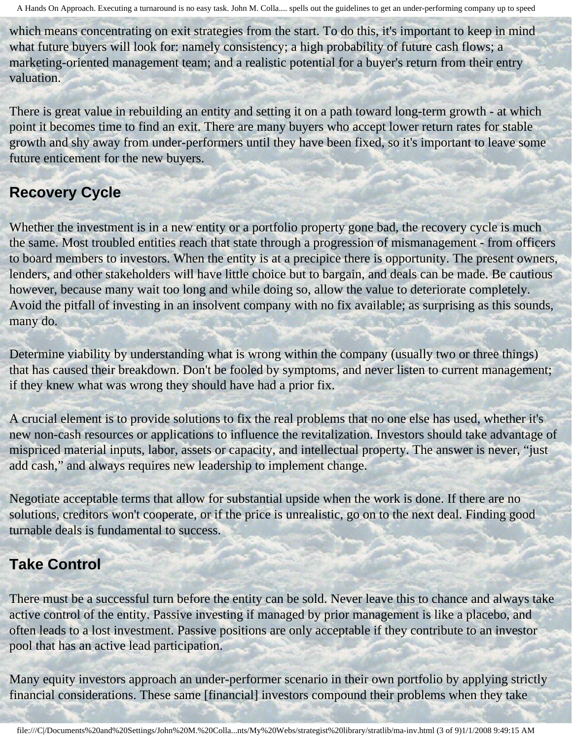which means concentrating on exit strategies from the start. To do this, it's important to keep in mind what future buyers will look for: namely consistency; a high probability of future cash flows; a marketing-oriented management team; and a realistic potential for a buyer's return from their entry valuation.

There is great value in rebuilding an entity and setting it on a path toward long-term growth - at which point it becomes time to find an exit. There are many buyers who accept lower return rates for stable growth and shy away from under-performers until they have been fixed, so it's important to leave some future enticement for the new buyers.

#### **Recovery Cycle**

Whether the investment is in a new entity or a portfolio property gone bad, the recovery cycle is much the same. Most troubled entities reach that state through a progression of mismanagement - from officers to board members to investors. When the entity is at a precipice there is opportunity. The present owners, lenders, and other stakeholders will have little choice but to bargain, and deals can be made. Be cautious however, because many wait too long and while doing so, allow the value to deteriorate completely. Avoid the pitfall of investing in an insolvent company with no fix available; as surprising as this sounds, many do.

Determine viability by understanding what is wrong within the company (usually two or three things) that has caused their breakdown. Don't be fooled by symptoms, and never listen to current management; if they knew what was wrong they should have had a prior fix.

A crucial element is to provide solutions to fix the real problems that no one else has used, whether it's new non-cash resources or applications to influence the revitalization. Investors should take advantage of mispriced material inputs, labor, assets or capacity, and intellectual property. The answer is never, "just add cash," and always requires new leadership to implement change.

Negotiate acceptable terms that allow for substantial upside when the work is done. If there are no solutions, creditors won't cooperate, or if the price is unrealistic, go on to the next deal. Finding good turnable deals is fundamental to success.

#### **Take Control**

There must be a successful turn before the entity can be sold. Never leave this to chance and always take active control of the entity. Passive investing if managed by prior management is like a placebo, and often leads to a lost investment. Passive positions are only acceptable if they contribute to an investor pool that has an active lead participation.

Many equity investors approach an under-performer scenario in their own portfolio by applying strictly financial considerations. These same [financial] investors compound their problems when they take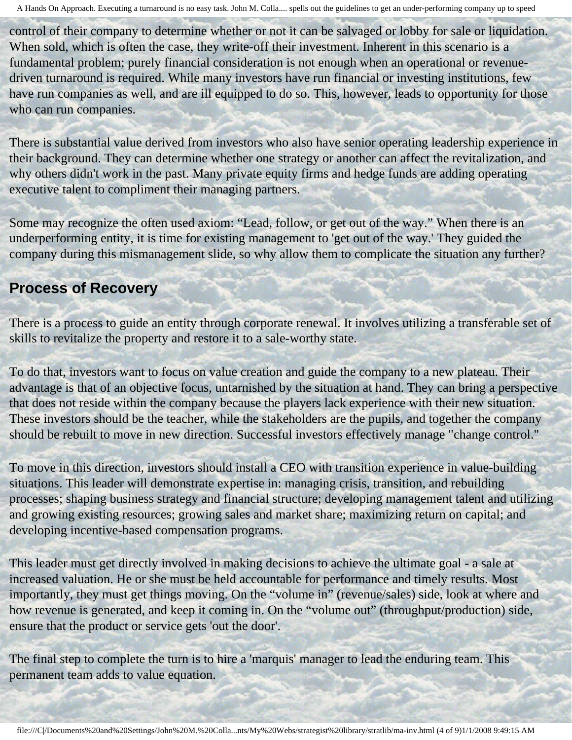control of their company to determine whether or not it can be salvaged or lobby for sale or liquidation. When sold, which is often the case, they write-off their investment. Inherent in this scenario is a fundamental problem; purely financial consideration is not enough when an operational or revenuedriven turnaround is required. While many investors have run financial or investing institutions, few have run companies as well, and are ill equipped to do so. This, however, leads to opportunity for those who can run companies.

There is substantial value derived from investors who also have senior operating leadership experience in their background. They can determine whether one strategy or another can affect the revitalization, and why others didn't work in the past. Many private equity firms and hedge funds are adding operating executive talent to compliment their managing partners.

Some may recognize the often used axiom: "Lead, follow, or get out of the way." When there is an underperforming entity, it is time for existing management to 'get out of the way.' They guided the company during this mismanagement slide, so why allow them to complicate the situation any further?

#### **Process of Recovery**

There is a process to guide an entity through corporate renewal. It involves utilizing a transferable set of skills to revitalize the property and restore it to a sale-worthy state.

To do that, investors want to focus on value creation and guide the company to a new plateau. Their advantage is that of an objective focus, untarnished by the situation at hand. They can bring a perspective that does not reside within the company because the players lack experience with their new situation. These investors should be the teacher, while the stakeholders are the pupils, and together the company should be rebuilt to move in new direction. Successful investors effectively manage "change control."

To move in this direction, investors should install a CEO with transition experience in value-building situations. This leader will demonstrate expertise in: managing crisis, transition, and rebuilding processes; shaping business strategy and financial structure; developing management talent and utilizing and growing existing resources; growing sales and market share; maximizing return on capital; and developing incentive-based compensation programs.

This leader must get directly involved in making decisions to achieve the ultimate goal - a sale at increased valuation. He or she must be held accountable for performance and timely results. Most importantly, they must get things moving. On the "volume in" (revenue/sales) side, look at where and how revenue is generated, and keep it coming in. On the "volume out" (throughput/production) side, ensure that the product or service gets 'out the door'.

The final step to complete the turn is to hire a 'marquis' manager to lead the enduring team. This permanent team adds to value equation.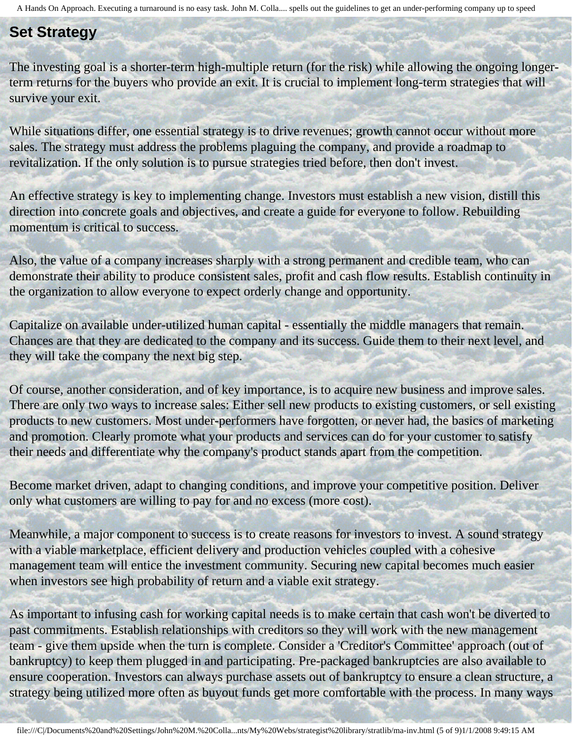#### **Set Strategy**

The investing goal is a shorter-term high-multiple return (for the risk) while allowing the ongoing longerterm returns for the buyers who provide an exit. It is crucial to implement long-term strategies that will survive your exit.

While situations differ, one essential strategy is to drive revenues; growth cannot occur without more sales. The strategy must address the problems plaguing the company, and provide a roadmap to revitalization. If the only solution is to pursue strategies tried before, then don't invest.

An effective strategy is key to implementing change. Investors must establish a new vision, distill this direction into concrete goals and objectives, and create a guide for everyone to follow. Rebuilding momentum is critical to success.

Also, the value of a company increases sharply with a strong permanent and credible team, who can demonstrate their ability to produce consistent sales, profit and cash flow results. Establish continuity in the organization to allow everyone to expect orderly change and opportunity.

Capitalize on available under-utilized human capital - essentially the middle managers that remain. Chances are that they are dedicated to the company and its success. Guide them to their next level, and they will take the company the next big step.

Of course, another consideration, and of key importance, is to acquire new business and improve sales. There are only two ways to increase sales: Either sell new products to existing customers, or sell existing products to new customers. Most under-performers have forgotten, or never had, the basics of marketing and promotion. Clearly promote what your products and services can do for your customer to satisfy their needs and differentiate why the company's product stands apart from the competition.

Become market driven, adapt to changing conditions, and improve your competitive position. Deliver only what customers are willing to pay for and no excess (more cost).

Meanwhile, a major component to success is to create reasons for investors to invest. A sound strategy with a viable marketplace, efficient delivery and production vehicles coupled with a cohesive management team will entice the investment community. Securing new capital becomes much easier when investors see high probability of return and a viable exit strategy.

As important to infusing cash for working capital needs is to make certain that cash won't be diverted to past commitments. Establish relationships with creditors so they will work with the new management team - give them upside when the turn is complete. Consider a 'Creditor's Committee' approach (out of bankruptcy) to keep them plugged in and participating. Pre-packaged bankruptcies are also available to ensure cooperation. Investors can always purchase assets out of bankruptcy to ensure a clean structure, a strategy being utilized more often as buyout funds get more comfortable with the process. In many ways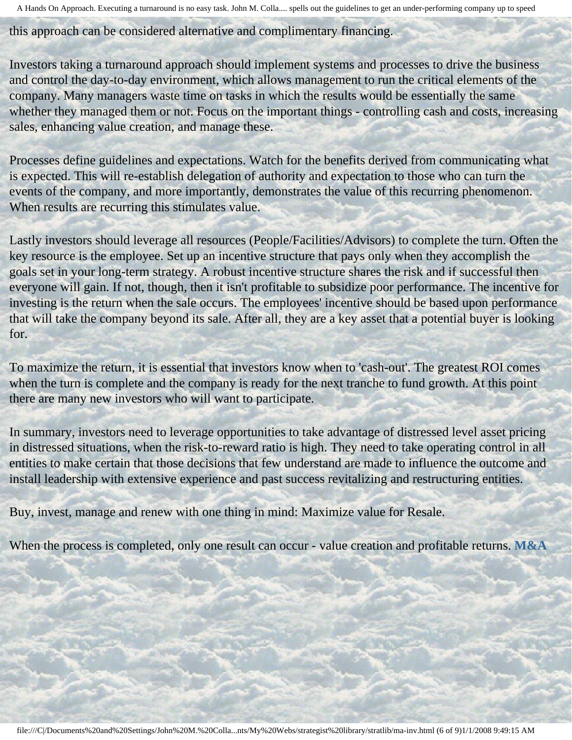this approach can be considered alternative and complimentary financing.

Investors taking a turnaround approach should implement systems and processes to drive the business and control the day-to-day environment, which allows management to run the critical elements of the company. Many managers waste time on tasks in which the results would be essentially the same whether they managed them or not. Focus on the important things - controlling cash and costs, increasing sales, enhancing value creation, and manage these.

Processes define guidelines and expectations. Watch for the benefits derived from communicating what is expected. This will re-establish delegation of authority and expectation to those who can turn the events of the company, and more importantly, demonstrates the value of this recurring phenomenon. When results are recurring this stimulates value.

Lastly investors should leverage all resources (People/Facilities/Advisors) to complete the turn. Often the key resource is the employee. Set up an incentive structure that pays only when they accomplish the goals set in your long-term strategy. A robust incentive structure shares the risk and if successful then everyone will gain. If not, though, then it isn't profitable to subsidize poor performance. The incentive for investing is the return when the sale occurs. The employees' incentive should be based upon performance that will take the company beyond its sale. After all, they are a key asset that a potential buyer is looking for.

To maximize the return, it is essential that investors know when to 'cash-out'. The greatest ROI comes when the turn is complete and the company is ready for the next tranche to fund growth. At this point there are many new investors who will want to participate.

In summary, investors need to leverage opportunities to take advantage of distressed level asset pricing in distressed situations, when the risk-to-reward ratio is high. They need to take operating control in all entities to make certain that those decisions that few understand are made to influence the outcome and install leadership with extensive experience and past success revitalizing and restructuring entities.

Buy, invest, manage and renew with one thing in mind: Maximize value for Resale.

When the process is completed, only one result can occur - value creation and profitable returns. **M&A**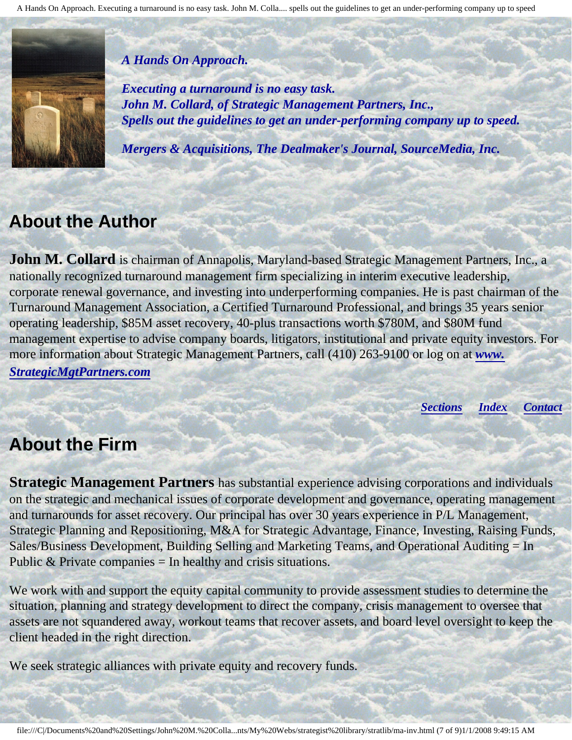#### *A Hands On Approach.*

*Executing a turnaround is no easy task. John M. Collard, of Strategic Management Partners, Inc., Spells out the guidelines to get an under-performing company up to speed.*

*Mergers & Acquisitions, The Dealmaker's Journal, SourceMedia, Inc.*

## <span id="page-6-0"></span>**About the Author**

**John M. Collard** is chairman of Annapolis, Maryland-based Strategic Management Partners, Inc., a nationally recognized turnaround management firm specializing in interim executive leadership, corporate renewal governance, and investing into underperforming companies. He is past chairman of the Turnaround Management Association, a Certified Turnaround Professional, and brings 35 years senior operating leadership, \$85M asset recovery, 40-plus transactions worth \$780M, and \$80M fund management expertise to advise company boards, litigators, institutional and private equity investors. For more information about Strategic Management Partners, call (410) 263-9100 or log on at *[www.](http://members.aol.com/strategist/home.html#TOP) [StrategicMgtPartners.com](http://members.aol.com/strategist/home.html#TOP)*

*[Sections](#page-0-1) [Index](#page-0-2) [Contact](#page-7-0)*

## <span id="page-6-1"></span>**About the Firm**

**Strategic Management Partners** has substantial experience advising corporations and individuals on the strategic and mechanical issues of corporate development and governance, operating management and turnarounds for asset recovery. Our principal has over 30 years experience in P/L Management, Strategic Planning and Repositioning, M&A for Strategic Advantage, Finance, Investing, Raising Funds, Sales/Business Development, Building Selling and Marketing Teams, and Operational Auditing = In Public  $&$  Private companies  $=$  In healthy and crisis situations.

We work with and support the equity capital community to provide assessment studies to determine the situation, planning and strategy development to direct the company, crisis management to oversee that assets are not squandered away, workout teams that recover assets, and board level oversight to keep the client headed in the right direction.

We seek strategic alliances with private equity and recovery funds.